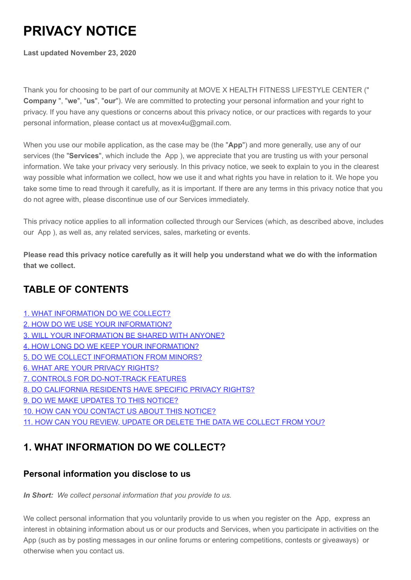# **PRIVACY NOTICE**

**Last updated November 23, 2020**

Thank you for choosing to be part of our community at MOVE X HEALTH FITNESS LIFESTYLE CENTER (" **Company** ", "**we**", "**us**", "**our**"). We are committed to protecting your personal information and your right to privacy. If you have any questions or concerns about this privacy notice, or our practices with regards to your personal information, please contact us at movex4u@gmail.com.

When you use our mobile application, as the case may be (the "**App**") and more generally, use any of our services (the "**Services**", which include the App ), we appreciate that you are trusting us with your personal information. We take your privacy very seriously. In this privacy notice, we seek to explain to you in the clearest way possible what information we collect, how we use it and what rights you have in relation to it. We hope you take some time to read through it carefully, as it is important. If there are any terms in this privacy notice that you do not agree with, please discontinue use of our Services immediately.

This privacy notice applies to all information collected through our Services (which, as described above, includes our App ), as well as, any related services, sales, marketing or events.

**Please read this privacy notice carefully as it will help you understand what we do with the information that we collect.**

## **TABLE OF CONTENTS**

- [1. WHAT INFORMATION DO WE COLLECT?](#page-0-0)
- [2. HOW DO WE USE YOUR INFORMATION?](#page-2-0)
- [3. WILL YOUR INFORMATION BE SHARED WITH ANYONE?](#page-3-0)
- [4. HOW LONG DO WE KEEP YOUR INFORMATION?](#page-4-0)
- [5. DO WE COLLECT INFORMATION FROM MINORS?](#page-4-1)
- [6. WHAT ARE YOUR PRIVACY RIGHTS?](#page-5-0)
- [7. CONTROLS FOR DO-NOT-TRACK FEATURES](#page-5-1)
- [8. DO CALIFORNIA RESIDENTS HAVE SPECIFIC PRIVACY](#page-6-0) RIGHTS?
- [9. DO WE MAKE UPDATES TO THIS NOTICE?](#page-6-1)
- [10. HOW CAN YOU CONTACT US ABOUT THIS NOTICE?](#page-6-2)
- [11. HOW CAN YOU REVIEW, UPDATE OR DELETE THE DATA WE COLLECT FROM YOU?](#page-6-3)

# <span id="page-0-0"></span>**1. WHAT INFORMATION DO WE COLLECT?**

#### **Personal information you disclose to us**

*In Short: We collect personal information that you provide to us.*

We collect personal information that you voluntarily provide to us when you register on the App, express an interest in obtaining information about us or our products and Services, when you participate in activities on the App (such as by posting messages in our online forums or entering competitions, contests or giveaways) or otherwise when you contact us.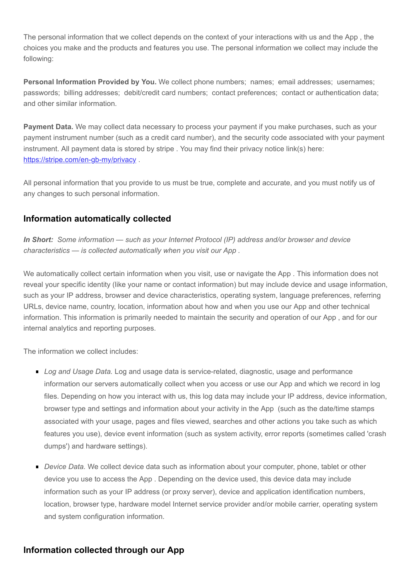The personal information that we collect depends on the context of your interactions with us and the App , the choices you make and the products and features you use. The personal information we collect may include the following:

**Personal Information Provided by You.** We collect phone numbers; names; email addresses; usernames; passwords; billing addresses; debit/credit card numbers; contact preferences; contact or authentication data; and other similar information.

**Payment Data.** We may collect data necessary to process your payment if you make purchases, such as your payment instrument number (such as a credit card number), and the security code associated with your payment instrument. All payment data is stored by stripe . You may find their privacy notice link(s) here: <https://stripe.com/en-gb-my/privacy>.

All personal information that you provide to us must be true, complete and accurate, and you must notify us of any changes to such personal information.

#### **Information automatically collected**

*In Short: Some information — such as your Internet Protocol (IP) address and/or browser and device characteristics — is collected automatically when you visit our App .*

We automatically collect certain information when you visit, use or navigate the App. This information does not reveal your specific identity (like your name or contact information) but may include device and usage information, such as your IP address, browser and device characteristics, operating system, language preferences, referring URLs, device name, country, location, information about how and when you use our App and other technical information. This information is primarily needed to maintain the security and operation of our App , and for our internal analytics and reporting purposes.

The information we collect includes:

- *Log and Usage Data.* Log and usage data is service-related, diagnostic, usage and performance information our servers automatically collect when you access or use our App and which we record in log files. Depending on how you interact with us, this log data may include your IP address, device information, browser type and settings and information about your activity in the App (such as the date/time stamps associated with your usage, pages and files viewed, searches and other actions you take such as which features you use), device event information (such as system activity, error reports (sometimes called 'crash dumps') and hardware settings).
- **Device Data.** We collect device data such as information about your computer, phone, tablet or other device you use to access the App . Depending on the device used, this device data may include information such as your IP address (or proxy server), device and application identification numbers, location, browser type, hardware model Internet service provider and/or mobile carrier, operating system and system configuration information.

#### **Information collected through our App**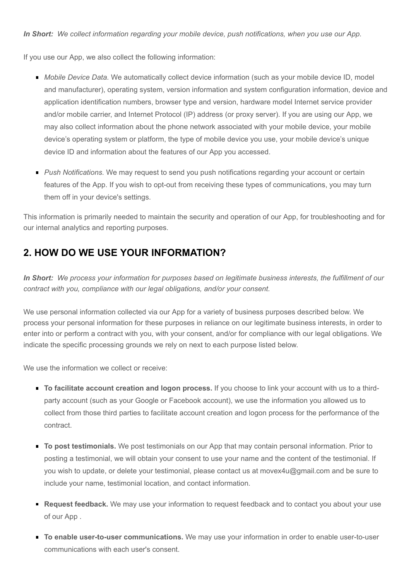If you use our App, we also collect the following information:

- *Mobile Device Data.* We automatically collect device information (such as your mobile device ID, model and manufacturer), operating system, version information and system configuration information, device and application identification numbers, browser type and version, hardware model Internet service provider and/or mobile carrier, and Internet Protocol (IP) address (or proxy server). If you are using our App, we may also collect information about the phone network associated with your mobile device, your mobile device's operating system or platform, the type of mobile device you use, your mobile device's unique device ID and information about the features of our App you accessed.
- **Push Notifications.** We may request to send you push notifications regarding your account or certain features of the App. If you wish to opt-out from receiving these types of communications, you may turn them off in your device's settings.

This information is primarily needed to maintain the security and operation of our App, for troubleshooting and for our internal analytics and reporting purposes.

#### <span id="page-2-0"></span>**2. HOW DO WE USE YOUR INFORMATION?**

*In Short: We process your information for purposes based on legitimate business interests, the fulfillment of our contract with you, compliance with our legal obligations, and/or your consent.*

We use personal information collected via our App for a variety of business purposes described below. We process your personal information for these purposes in reliance on our legitimate business interests, in order to enter into or perform a contract with you, with your consent, and/or for compliance with our legal obligations. We indicate the specific processing grounds we rely on next to each purpose listed below.

We use the information we collect or receive:

- **To facilitate account creation and logon process.** If you choose to link your account with us to a thirdparty account (such as your Google or Facebook account), we use the information you allowed us to collect from those third parties to facilitate account creation and logon process for the performance of the contract.
- **To post testimonials.** We post testimonials on our App that may contain personal information. Prior to posting a testimonial, we will obtain your consent to use your name and the content of the testimonial. If you wish to update, or delete your testimonial, please contact us at movex4u@gmail.com and be sure to include your name, testimonial location, and contact information.
- **Request feedback.** We may use your information to request feedback and to contact you about your use of our App .
- **To enable user-to-user communications.** We may use your information in order to enable user-to-user communications with each user's consent.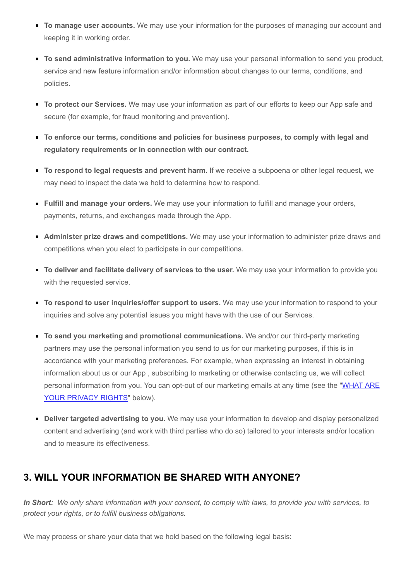- **To manage user accounts.** We may use your information for the purposes of managing our account and keeping it in working order.
- **To send administrative information to you.** We may use your personal information to send you product, service and new feature information and/or information about changes to our terms, conditions, and policies.
- **To protect our Services.** We may use your information as part of our efforts to keep our App safe and secure (for example, for fraud monitoring and prevention).
- **To enforce our terms, conditions and policies for business purposes, to comply with legal and regulatory requirements or in connection with our contract.**
- **To respond to legal requests and prevent harm.** If we receive a subpoena or other legal request, we may need to inspect the data we hold to determine how to respond.
- **Fulfill and manage your orders.** We may use your information to fulfill and manage your orders, payments, returns, and exchanges made through the App.
- **Administer prize draws and competitions.** We may use your information to administer prize draws and competitions when you elect to participate in our competitions.
- **To deliver and facilitate delivery of services to the user.** We may use your information to provide you with the requested service.
- **To respond to user inquiries/offer support to users.** We may use your information to respond to your inquiries and solve any potential issues you might have with the use of our Services.
- **To send you marketing and promotional communications.** We and/or our third-party marketing partners may use the personal information you send to us for our marketing purposes, if this is in accordance with your marketing preferences. For example, when expressing an interest in obtaining information about us or our App , subscribing to marketing or otherwise contacting us, we will collect [personal information from you. You can opt-out of our marketing emails at any time \(see the "WHAT ARE](#page-5-0) YOUR PRIVACY RIGHTS" below).
- **Deliver targeted advertising to you.** We may use your information to develop and display personalized content and advertising (and work with third parties who do so) tailored to your interests and/or location and to measure its effectiveness.

#### <span id="page-3-0"></span>**3. WILL YOUR INFORMATION BE SHARED WITH ANYONE?**

*In Short: We only share information with your consent, to comply with laws, to provide you with services, to protect your rights, or to fulfill business obligations.*

We may process or share your data that we hold based on the following legal basis: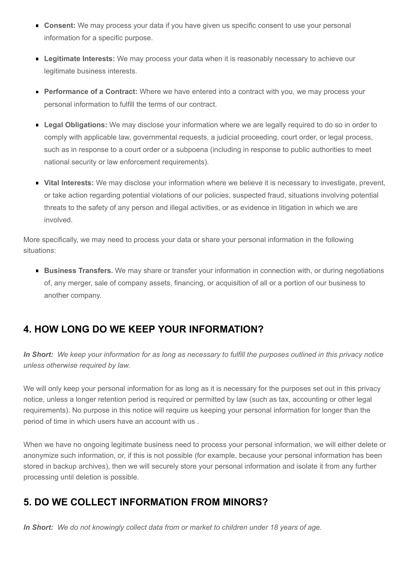- **Consent:** We may process your data if you have given us specific consent to use your personal information for a specific purpose.
- **Legitimate Interests:** We may process your data when it is reasonably necessary to achieve our legitimate business interests.
- **Performance of a Contract:** Where we have entered into a contract with you, we may process your personal information to fulfill the terms of our contract.
- **Legal Obligations:** We may disclose your information where we are legally required to do so in order to comply with applicable law, governmental requests, a judicial proceeding, court order, or legal process, such as in response to a court order or a subpoena (including in response to public authorities to meet national security or law enforcement requirements).
- **Vital Interests:** We may disclose your information where we believe it is necessary to investigate, prevent, or take action regarding potential violations of our policies, suspected fraud, situations involving potential threats to the safety of any person and illegal activities, or as evidence in litigation in which we are involved.

More specifically, we may need to process your data or share your personal information in the following situations:

**Business Transfers.** We may share or transfer your information in connection with, or during negotiations of, any merger, sale of company assets, financing, or acquisition of all or a portion of our business to another company.

## <span id="page-4-0"></span>**4. HOW LONG DO WE KEEP YOUR INFORMATION?**

*In Short: We keep your information for as long as necessary to fulfill the purposes outlined in this privacy notice unless otherwise required by law.*

We will only keep your personal information for as long as it is necessary for the purposes set out in this privacy notice, unless a longer retention period is required or permitted by law (such as tax, accounting or other legal requirements). No purpose in this notice will require us keeping your personal information for longer than the period of time in which users have an account with us .

When we have no ongoing legitimate business need to process your personal information, we will either delete or anonymize such information, or, if this is not possible (for example, because your personal information has been stored in backup archives), then we will securely store your personal information and isolate it from any further processing until deletion is possible.

## <span id="page-4-1"></span>**5. DO WE COLLECT INFORMATION FROM MINORS?**

*In Short: We do not knowingly collect data from or market to children under 18 years of age.*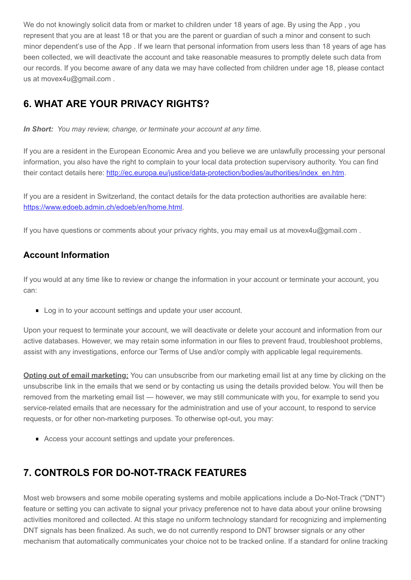We do not knowingly solicit data from or market to children under 18 years of age. By using the App, you represent that you are at least 18 or that you are the parent or guardian of such a minor and consent to such minor dependent's use of the App . If we learn that personal information from users less than 18 years of age has been collected, we will deactivate the account and take reasonable measures to promptly delete such data from our records. If you become aware of any data we may have collected from children under age 18, please contact us at movex4u@gmail.com .

# <span id="page-5-0"></span>**6. WHAT ARE YOUR PRIVACY RIGHTS?**

*In Short: You may review, change, or terminate your account at any time.*

If you are a resident in the European Economic Area and you believe we are unlawfully processing your personal information, you also have the right to complain to your local data protection supervisory authority. You can find their contact details here: [http://ec.europa.eu/justice/data-protection/bodies/authorities/index\\_en.htm](http://ec.europa.eu/justice/data-protection/bodies/authorities/index_en.htm).

If you are a resident in Switzerland, the contact details for the data protection authorities are available here: [https://www.edoeb.admin.ch/edoeb/en/home.html.](https://www.edoeb.admin.ch/edoeb/en/home.html)

If you have questions or comments about your privacy rights, you may email us at movex4u@gmail.com .

#### **Account Information**

If you would at any time like to review or change the information in your account or terminate your account, you can:

Log in to your account settings and update your user account.

Upon your request to terminate your account, we will deactivate or delete your account and information from our active databases. However, we may retain some information in our files to prevent fraud, troubleshoot problems, assist with any investigations, enforce our Terms of Use and/or comply with applicable legal requirements.

**Opting out of email marketing:** You can unsubscribe from our marketing email list at any time by clicking on the unsubscribe link in the emails that we send or by contacting us using the details provided below. You will then be removed from the marketing email list — however, we may still communicate with you, for example to send you service-related emails that are necessary for the administration and use of your account, to respond to service requests, or for other non-marketing purposes. To otherwise opt-out, you may:

Access your account settings and update your preferences.

# <span id="page-5-1"></span>**7. CONTROLS FOR DO-NOT-TRACK FEATURES**

Most web browsers and some mobile operating systems and mobile applications include a Do-Not-Track ("DNT") feature or setting you can activate to signal your privacy preference not to have data about your online browsing activities monitored and collected. At this stage no uniform technology standard for recognizing and implementing DNT signals has been finalized. As such, we do not currently respond to DNT browser signals or any other mechanism that automatically communicates your choice not to be tracked online. If a standard for online tracking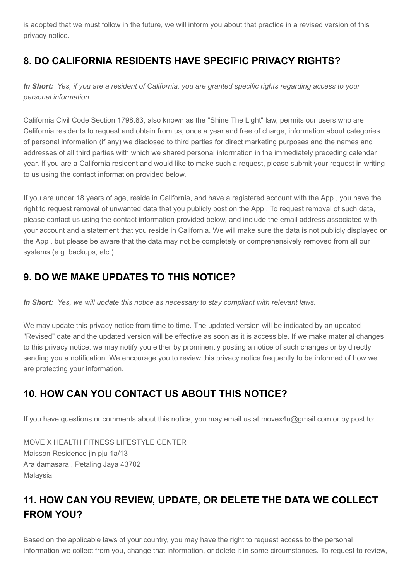is adopted that we must follow in the future, we will inform you about that practice in a revised version of this privacy notice.

# <span id="page-6-0"></span>**8. DO CALIFORNIA RESIDENTS HAVE SPECIFIC PRIVACY RIGHTS?**

*In Short: Yes, if you are a resident of California, you are granted specific rights regarding access to your personal information.*

California Civil Code Section 1798.83, also known as the "Shine The Light" law, permits our users who are California residents to request and obtain from us, once a year and free of charge, information about categories of personal information (if any) we disclosed to third parties for direct marketing purposes and the names and addresses of all third parties with which we shared personal information in the immediately preceding calendar year. If you are a California resident and would like to make such a request, please submit your request in writing to us using the contact information provided below.

If you are under 18 years of age, reside in California, and have a registered account with the App , you have the right to request removal of unwanted data that you publicly post on the App . To request removal of such data, please contact us using the contact information provided below, and include the email address associated with your account and a statement that you reside in California. We will make sure the data is not publicly displayed on the App , but please be aware that the data may not be completely or comprehensively removed from all our systems (e.g. backups, etc.).

# <span id="page-6-1"></span>**9. DO WE MAKE UPDATES TO THIS NOTICE?**

*In Short: Yes, we will update this notice as necessary to stay compliant with relevant laws.*

We may update this privacy notice from time to time. The updated version will be indicated by an updated "Revised" date and the updated version will be effective as soon as it is accessible. If we make material changes to this privacy notice, we may notify you either by prominently posting a notice of such changes or by directly sending you a notification. We encourage you to review this privacy notice frequently to be informed of how we are protecting your information.

## <span id="page-6-2"></span>**10. HOW CAN YOU CONTACT US ABOUT THIS NOTICE?**

If you have questions or comments about this notice, you may email us at movex4u@gmail.com or by post to:

MOVE X HEALTH FITNESS LIFESTYLE CENTER Maisson Residence jln pju 1a/13 Ara damasara , Petaling Jaya 43702 Malaysia

# <span id="page-6-3"></span>**11. HOW CAN YOU REVIEW, UPDATE, OR DELETE THE DATA WE COLLECT FROM YOU?**

Based on the applicable laws of your country, you may have the right to request access to the personal information we collect from you, change that information, or delete it in some circumstances. To request to review,